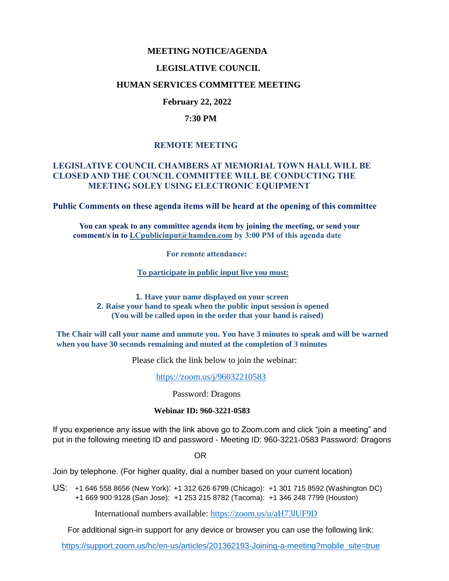## **MEETING NOTICE/AGENDA**

#### **LEGISLATIVE COUNCIL**

#### **HUMAN SERVICES COMMITTEE MEETING**

## **February 22, 2022**

#### **7:30 PM**

## **REMOTE MEETING**

# **LEGISLATIVE COUNCIL CHAMBERS AT MEMORIAL TOWN HALL WILL BE CLOSED AND THE COUNCIL COMMITTEE WILL BE CONDUCTING THE MEETING SOLEY USING ELECTRONIC EQUIPMENT**

**Public Comments on these agenda items will be heard at the opening of this committee** 

 **You can speak to any committee agenda item by joining the meeting, or send your comment/s in to [LCpublicinput@hamden.com](mailto:LCpublicinput@hamden.com) by 3:00 PM of this agenda date**

 **For remote attendance:**

**To participate in public input live you must:**

**1. Have your name displayed on your screen 2. Raise your hand to speak when the public input session is opened (You will be called upon in the order that your hand is raised)**

**The Chair will call your name and unmute you. You have 3 minutes to speak and will be warned when you have 30 seconds remaining and muted at the completion of 3 minutes**

Please click the link below to join the webinar:

<https://zoom.us/j/96032210583>

Password: Dragons

#### **Webinar ID: 960-3221-0583**

If you experience any issue with the link above go to Zoom.com and click "join a meeting" and put in the following meeting ID and password - Meeting ID: 960-3221-0583 Password: Dragons

OR

Join by telephone. (For higher quality, dial a number based on your current location)

US: [+1 646 558 8656 \(New York\)](tel:+16465588656): [+1 312 626 6799 \(Chicago\):](tel:+13126266799) [+1 301 715 8592 \(Washington DC\)](tel:+13017158592) +1 669 900 9128 (San Jose): [+1 253 215 8782 \(Tacoma\):](tel:+12532158782) [+1 346 248 7799 \(Houston\)](tel:+13462487799)

International numbers available:<https://zoom.us/u/aH73lUF9D>

For additional sign-in support for any device or browser you can use the following link:

[https://support.zoom.us/hc/en-us/articles/201362193-Joining-a-meeting?mobile\\_site=true](https://support.zoom.us/hc/en-us/articles/201362193-Joining-a-meeting?mobile_site=true)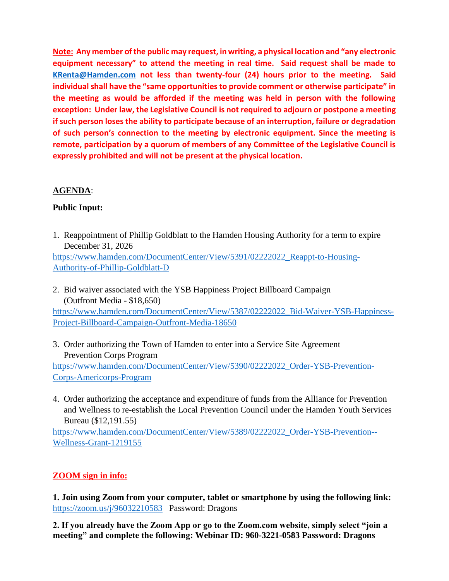**Note: Any member of the public may request, in writing, a physical location and "any electronic equipment necessary" to attend the meeting in real time. Said request shall be made to [KRenta@Hamden.com](mailto:KRenta@Hamden.com) not less than twenty-four (24) hours prior to the meeting. Said individual shall have the "same opportunities to provide comment or otherwise participate" in the meeting as would be afforded if the meeting was held in person with the following exception: Under law, the Legislative Council is not required to adjourn or postpone a meeting if such person loses the ability to participate because of an interruption, failure or degradation of such person's connection to the meeting by electronic equipment. Since the meeting is remote, participation by a quorum of members of any Committee of the Legislative Council is expressly prohibited and will not be present at the physical location.**

# **AGENDA**:

# **Public Input:**

- 1. Reappointment of Phillip Goldblatt to the Hamden Housing Authority for a term to expire December 31, 2026 [https://www.hamden.com/DocumentCenter/View/5391/02222022\\_Reappt-to-Housing-](https://www.hamden.com/DocumentCenter/View/5391/02222022_Reappt-to-Housing-Authority-of-Phillip-Goldblatt-D)[Authority-of-Phillip-Goldblatt-D](https://www.hamden.com/DocumentCenter/View/5391/02222022_Reappt-to-Housing-Authority-of-Phillip-Goldblatt-D)
- 2. Bid waiver associated with the YSB Happiness Project Billboard Campaign (Outfront Media - \$18,650)

[https://www.hamden.com/DocumentCenter/View/5387/02222022\\_Bid-Waiver-YSB-Happiness-](https://www.hamden.com/DocumentCenter/View/5387/02222022_Bid-Waiver-YSB-Happiness-Project-Billboard-Campaign-Outfront-Media-18650)[Project-Billboard-Campaign-Outfront-Media-18650](https://www.hamden.com/DocumentCenter/View/5387/02222022_Bid-Waiver-YSB-Happiness-Project-Billboard-Campaign-Outfront-Media-18650)

3. Order authorizing the Town of Hamden to enter into a Service Site Agreement – Prevention Corps Program

[https://www.hamden.com/DocumentCenter/View/5390/02222022\\_Order-YSB-Prevention-](https://www.hamden.com/DocumentCenter/View/5390/02222022_Order-YSB-Prevention-Corps-Americorps-Program)[Corps-Americorps-Program](https://www.hamden.com/DocumentCenter/View/5390/02222022_Order-YSB-Prevention-Corps-Americorps-Program)

4. Order authorizing the acceptance and expenditure of funds from the Alliance for Prevention and Wellness to re-establish the Local Prevention Council under the Hamden Youth Services Bureau (\$12,191.55)

[https://www.hamden.com/DocumentCenter/View/5389/02222022\\_Order-YSB-Prevention--](https://www.hamden.com/DocumentCenter/View/5389/02222022_Order-YSB-Prevention--Wellness-Grant-1219155) [Wellness-Grant-1219155](https://www.hamden.com/DocumentCenter/View/5389/02222022_Order-YSB-Prevention--Wellness-Grant-1219155)

# **ZOOM sign in info:**

**1. Join using Zoom from your computer, tablet or smartphone by using the following link:** <https://zoom.us/j/96032210583>Password: Dragons

**2. If you already have the Zoom App or go to the Zoom.com website, simply select "join a meeting" and complete the following: Webinar ID: 960-3221-0583 Password: Dragons**